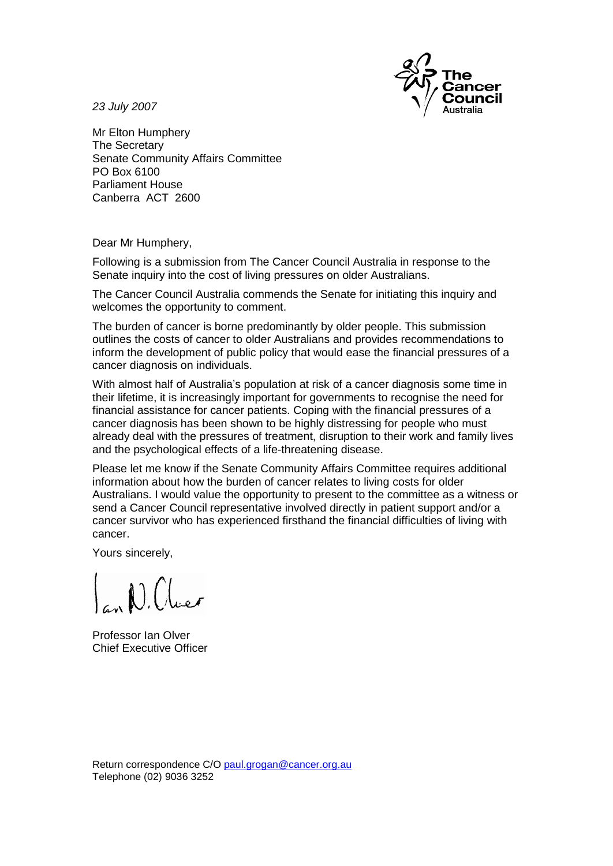

23 July 2007

Mr Elton Humphery The Secretary Senate Community Affairs Committee PO Box 6100 Parliament House Canberra ACT 2600

Dear Mr Humphery,

Following is a submission from TheCancer Council Australia in response to the Senate inquiry into the cost of living pressures on older Australians.

The Cancer Council Australia commends the Senate for initiating this inquiry and welcomes the opportunity to comment.

The burden of cancer is borne predominantly by older people. This submission outlines the costs of cancer to older Australians and provides recommendations to inform the development of public policy that would ease the financial pressures of a cancer diagnosis on individuals.

With almost half of Australiaí<sup>s</sup> population at risk of <sup>a</sup> cancer diagnosis some time in their lifetime, it is increasingly important for governments to recognise the need for financial assistance for cancer patients. Coping with the financial pressures of a cancer diagnosis has been shown to be highly distressing for people who must already deal with the pressures of treatment, disruption to their work and family lives and the psychological effects of a life-threatening disease.

Please let me know if the Senate Community Affairs Committee requires additional information about how the burden of cancer relates to living costs for older Australians. I would value the opportunity to present to the committee as a witness or send a Cancer Council representative involved directly in patient support and/or a cancer survivor who has experienced firsthand the financial difficulties of living with cancer.

Yours sincerely,

 $\bigcap_{k=1}^{\infty}$ 

Professor Ian Olver Chief Executive Officer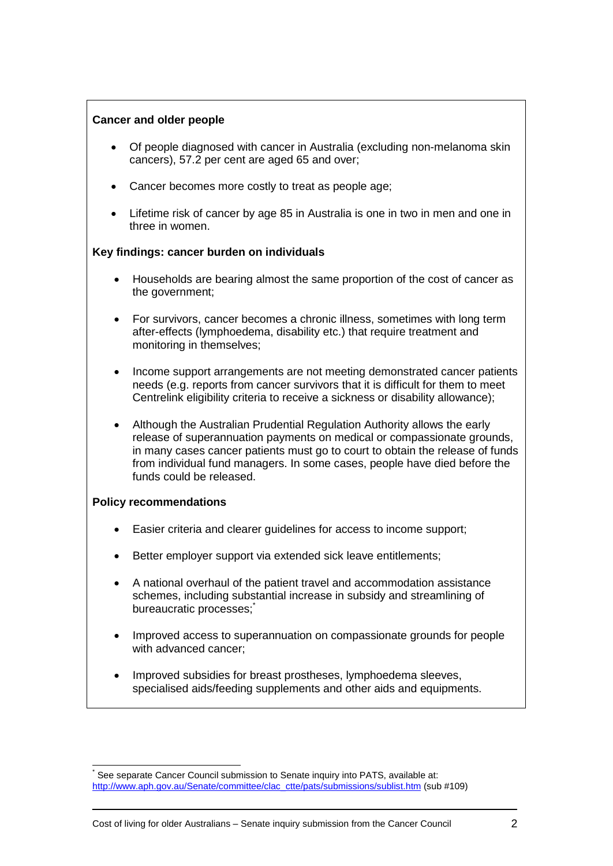# **Cancer and older people**

- Of people diagnosed with cancer in Australia (excluding non-melanoma skin cancers), 57.2 per cent are aged 65 and over;
- Cancer becomes more costly to treat as people age;
- Lifetime risk of cancer by age 85 in Australia is one in two in men and one in three in women.

## **Key findings: cancer burden on individuals**

- Households are bearing almost the same proportion of the cost of cancer as the government;
- For survivors, cancer becomes a chronic illness, sometimes with long term after-effects (lymphoedema, disability etc.) that require treatment and monitoring in themselves;
- Income support arrangements are not meeting demonstrated cancer patients needs (e.g. reports from cancer survivors that it is difficult for them to meet Centrelink eligibility criteria to receive a sickness or disability allowance);
- Although the Australian Prudential Regulation Authority allows the early release of superannuation payments on medical or compassionate grounds, in many cases cancer patients must go to court to obtain the release of funds from individual fund managers. In some cases, people have died before the funds could be released.

## **Policy recommendations**

- Easier criteria and clearer guidelines for access to income support;
- Better employer support via extended sick leave entitlements;
- A national overhaul of the patient travel and accommodation assistance schemes, including substantial increase in subsidy and streamlining of bureaucratic processes;<sup>\*</sup>
- Improved access to superannuation on compassionate grounds for people with advanced cancer;
- Improved subsidies for breast prostheses, lymphoedema sleeves, specialised aids/feeding supplements and other aids and equipments.

See separate Cancer Council submission to Senate inquiry into PATS, available at: [http://www.aph.gov.au/Senate/committee/clac\\_ctte/pats/submissions/sublist.htm](http://www.aph.gov.au/Senate/committee/clac_ctte/pats/submissions/sublist.htm) (sub #109)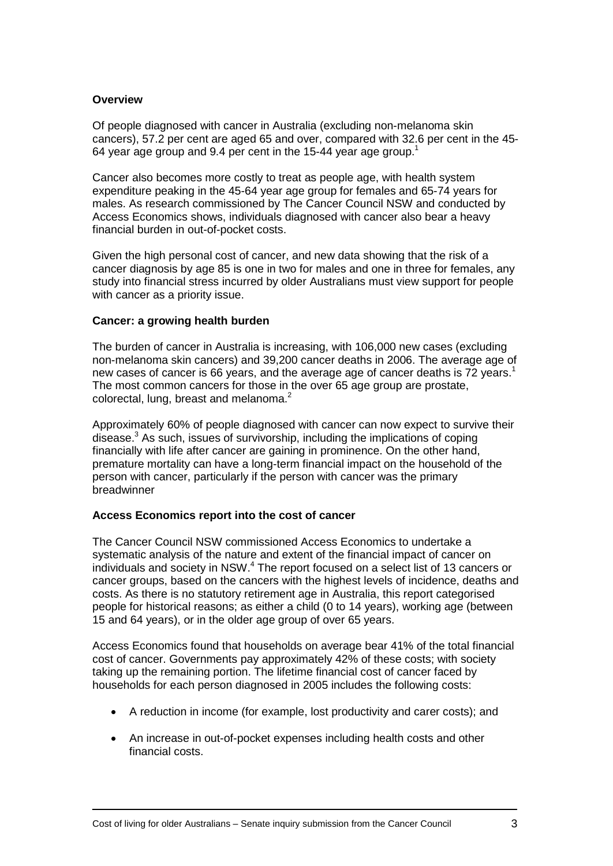#### **Overview**

Of people diagnosed with cancer in Australia (excluding non-melanoma skin cancers), 57.2 per cent are aged 65 and over, compared with 32.6 per cent in the 45- 64 year age group and 9.4 per cent in the 15-44 year age group.<sup>1</sup>

Cancer also becomes more costly to treat as people age, with health system expenditure peaking in the 45-64 year age group for females and 65-74 years for males. As research commissioned by The Cancer Council NSW and conducted by Access Economics shows, individuals diagnosed with cancer also bear a heavy financial burden in out-of-pocket costs.

Given the high personal cost of cancer, and new data showing that the risk of a cancer diagnosis by age 85 is one in two for males and one in three for females, any study into financial stress incurred by older Australians must view support for people with cancer as a priority issue.

#### **Cancer: a growing health burden**

The burden of cancer in Australia is increasing, with 106,000 new cases (excluding non-melanoma skin cancers) and 39,200 cancer deaths in 2006. The average age of new cases of cancer is 66 years, and the average age of cancer deaths is 72 years.<sup>1</sup> The most common cancers for those in the over 65 age group are prostate, colorectal, lung, breast and melanoma.<sup>2</sup>

Approximately 60% of people diagnosed with cancer can now expect to survive their disease. $3$  As such, issues of survivorship, including the implications of coping financially with life after cancer are gaining in prominence. On the other hand, premature mortality can have a long-term financial impact on the household of the person with cancer, particularly if the person with cancer was the primary breadwinner

## **Access Economics report into the cost of cancer**

The Cancer Council NSW commissioned Access Economics to undertake a systematic analysis of the nature and extent of the financial impact of cancer on individuals and society in NSW.<sup>4</sup> The report focused on a select list of 13 cancers or cancer groups, based on the cancers with the highest levels of incidence, deaths and costs. As there is no statutory retirement age in Australia, this report categorised people for historical reasons; as either a child (0 to 14 years), working age (between 15 and 64 years), or in the older age group of over 65 years.

Access Economics found that households on average bear 41% of the total financial cost of cancer. Governments pay approximately 42% of these costs; with society taking up the remaining portion. The lifetime financial cost of cancer faced by households for each person diagnosed in 2005 includes the following costs:

- A reduction in income (for example, lost productivity and carer costs); and
- An increase in out-of-pocket expenses including health costs and other financial costs.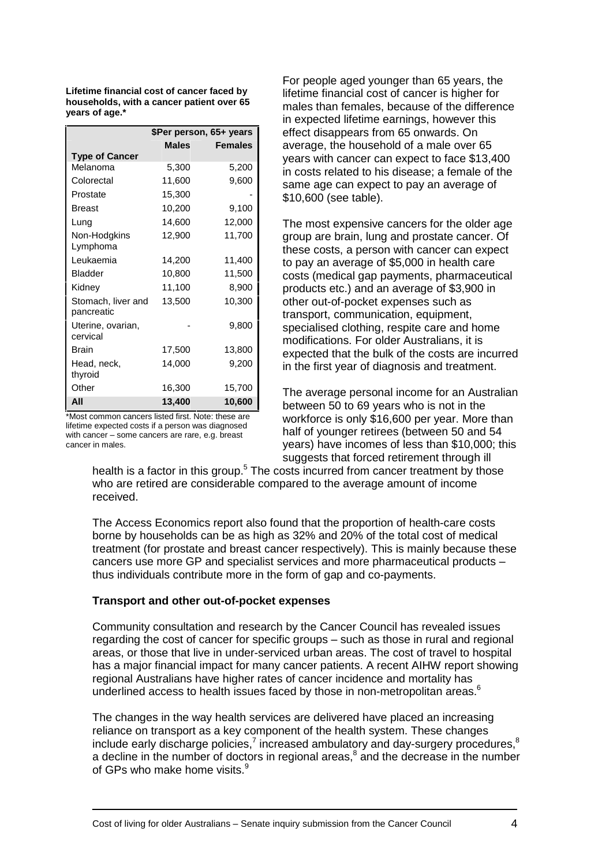**Lifetime financial cost of cancer faced by households, with a cancer patient over 65 years of age.\***

|                        | \$Per person, 65+ years |                | ei |
|------------------------|-------------------------|----------------|----|
|                        | <b>Males</b>            | <b>Females</b> | a١ |
| <b>Type of Cancer</b>  |                         |                | y( |
| Melanoma               | 5,300                   | 5,200          | in |
| Colorectal             | 11,600                  | 9,600          | s  |
| Prostate               | 15,300                  |                | \$ |
| <b>Breast</b>          | 10,200                  | 9,100          |    |
| Lung                   | 14,600                  | 12,000         | Т  |
| Non-Hodgkins           | 12,900                  | 11,700         | g  |
| Lymphoma               |                         |                | th |
| Leukaemia              | 14,200                  | 11,400         | tc |
| <b>Bladder</b>         | 10,800                  | 11,500         | C( |
| Kidney                 | 11,100                  | 8,900          | pı |
| Stomach, liver and     | 13,500                  | 10,300         | o۱ |
| pancreatic             |                         |                | tr |
| Uterine, ovarian,      |                         | 9,800          | s  |
| cervical               |                         |                | m  |
| <b>Brain</b>           | 17,500                  | 13,800         | e: |
| Head, neck,<br>thyroid | 14,000                  | 9,200          | in |
| Other                  | 16,300                  | 15,700         | Т  |
| All                    | 13,400                  | 10,600         | b١ |

\*Most common cancers listed first. Note: these are with cancer <sup>ñ</sup> some cancers are rare, e.g. breast lifetime expected costs if a person was diagnosed cancer in males.

For people aged younger than 65 years, the lifetime financial cost of cancer is higher for males than females, because of the difference in expected lifetime earnings, however this effect disappears from 65 onwards. On average, the household of a male over 65 years with cancer can expect to face \$13,400 in costs related to his disease; a female of the same age can expect to pay an average of \$10,600 (see table).

The most expensive cancers for the older age group are brain, lung and prostate cancer. Of these costs, a person with cancer can expect to pay an average of \$5,000 in health care costs (medical gap payments, pharmaceutical products etc.) and an average of \$3,900 in other out-of-pocket expenses such as transport, communication, equipment, specialised clothing, respite care and home modifications. For older Australians, it is expected that the bulk of the costs are incurred in the first year of diagnosis and treatment.

The average personal income for an Australian between 50 to 69 years who is not in the workforce is only \$16,600 per year. More than half of younger retirees (between 50 and 54 years) have incomes of less than \$10,000; this suggests that forced retirement through ill

health is a factor in this group.<sup>5</sup> The costs incurred from cancer treatment by those who are retired are considerable compared to the average amount of income received.

The Access Economics report also found that the proportion of health-care costs borne by households can be as high as 32% and 20% of the total cost of medical<br>treatment (for prostate and breast cancer respectively). This is mainly because these<br>cancers use more GP and specialist services and more phar treatment (for prostate and breast cancer respectively). This is mainly because these thus individuals contribute more in the form of gap and co-payments.

## **Transport and other out-of-pocket expenses**

Community consultation and research by the Cancer Council has revealed issues regarding the cost of cancer for specific groups – such as those in rural and regional areas, or those that live in under-serviced urban areas. The cost of travel to hospital has a major financial impact for many cancer patients. A recent AIHW report showing regional Australians have higher rates of cancer incidence and mortality has underlined access to health issues faced by those in non-metropolitan areas.<sup>6</sup>

The changes in the way health services are delivered have placed an increasing reliance on transport as a key component of the health system. These changes include early discharge policies,<sup>7</sup> increased ambulatory and day-surgery procedures,<sup>8</sup> a decline in the number of doctors in regional areas, $<sup>8</sup>$  and the decrease in the number</sup> of GPs who make home visits.<sup>9</sup>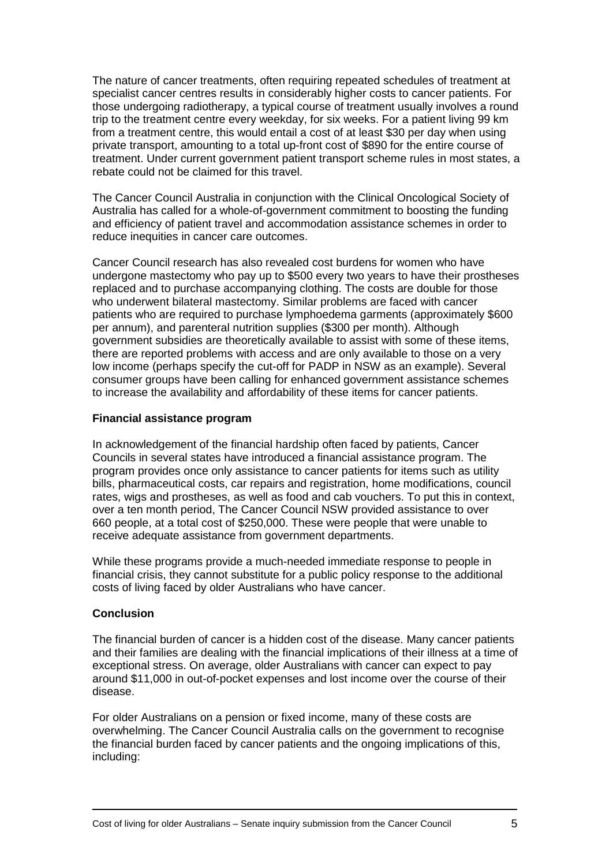The nature of cancer treatments, often requiring repeated schedules of treatment at specialist cancer centres results in considerably higher costs to cancer patients. For those undergoing radiotherapy, a typical course of treatment usually involves a round trip to the treatment centre every weekday, for six weeks. For a patient living 99 km from a treatment centre, this would entail a costof at least \$30 per day when using private transport, amounting to a total up-front cost of \$890 for the entire course of treatment. Under current government patient transport scheme rules in most states, a rebate could not be claimed for this travel.

The Cancer Council Australia in conjunction with the Clinical Oncological Society of Australia has called for a whole-of-government commitment to boosting the funding and efficiency of patient travel and accommodation assistance schemes in order to reduce inequities in cancer care outcomes.

Cancer Council research has also revealed cost burdens for women who have undergone mastectomy who pay up to \$500 every two years to have their prostheses replaced and to purchase accompanying clothing. The costs are double for those who underwent bilateral mastectomy. Similar problems are faced with cancer patients who are required to purchase lymphoedema garments (approximately \$600 per annum), and parenteral nutrition supplies (\$300 per month). Although government subsidies are theoretically available to assist with some of these items, there are reported problems with access and are only available to those on a very low income (perhaps specify the cut-off for PADP in NSW as an example). Several consumer groups have been calling for enhanced government assistance schemes to increase the availability and affordability of these items for cancer patients.

## **Financial assistance program**

In acknowledgement of the financial hardship often faced by patients, Cancer Councils in several states have introduced a financial assistance program. The program provides once only assistance to cancer patients for items such as utility bills, pharmaceutical costs, car repairs and registration, home modifications, council rates, wigs and prostheses, as well as food and cab vouchers. To put this in context, over a ten month period, The Cancer Council NSW provided assistance to over 660 people, at a total cost of \$250,000. These were people that were unable to receive adequate assistance from government departments.

While these programs provide a much-needed immediate response to people in financial crisis, they cannot substitute for a public policy response to the additional costs of living faced by older Australians who have cancer.

## **Conclusion**

The financial burden of cancer is a hidden cost of the disease. Many cancer patients and their families are dealing with the financial implications of their illness at a time of exceptional stress. On average, older Australians with cancer can expect to pay around \$11,000 in out-of-pocket expenses and lost income over the course of their disease.

For older Australians on a pension or fixed income, many of these costs are overwhelming. The Cancer Council Australia calls on the government to recognise the financial burden faced by cancer patients and the ongoing implications of this, including: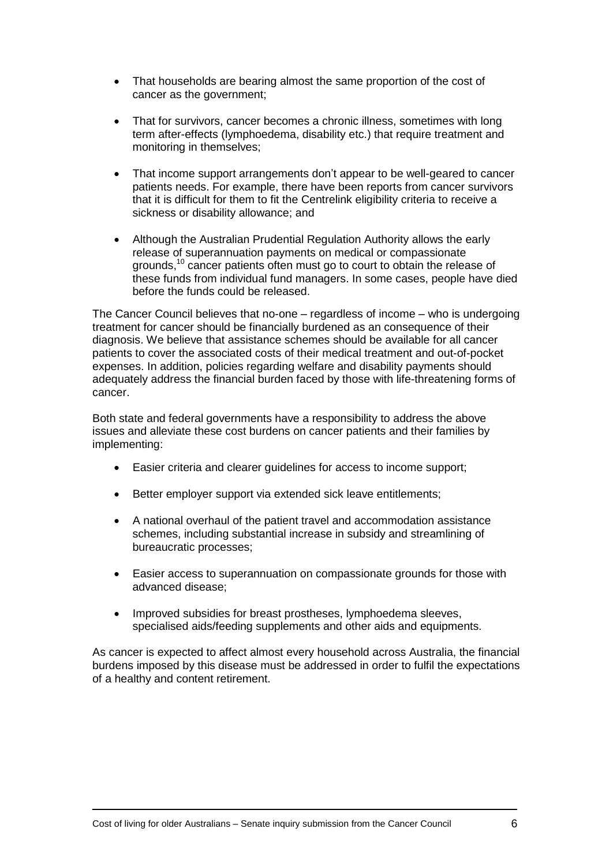- $\bullet$  That households are bearing almost the same proportion of the cost of cancer as the government;
- That for survivors, cancer becomes a chronic illness, sometimes with long  $\bullet$ term after-effects (lymphoedema, disability etc.) that require treatment and monitoring in themselves;
- That income support arrangements don't appear to be well-geared to cancer patients needs. For example, there have been reports from cancer survivors that it is difficult for them to fit the Centrelink eligibility criteria to receive a sickness or disability allowance; and
- Although the Australian Prudential Regulation Authority allows the early release of superannuation payments on medical or compassionate arounds.<sup>10</sup> cancer patients often must go to court to obtain the release of these funds from individual fund managers. In some cases, people have died before the funds could be released.

The Cancer Council believes that no-one  $-$  regardless of income  $-$  who is undergoing treatment for cancer should be financially burdened as an consequence of their diagnosis. We believe that assistance schemes should be available for all cancer patients to cover the associated costs of their medical treatment and out-of-pocket expenses. In addition, policies regarding welfare and disability payments should adequately address the financial burden faced by those with life-threatening forms of cancer.

Both state and federal governments have a responsibility to address the above issues and alleviate these cost burdens on cancer patients and their families by implementing:

- Easier criteria and clearer guidelines for access to income support;
- Better employer support via extended sick leave entitlements;
- A national overhaul of the patient travel and accommodation assistance schemes, including substantial increase in subsidy and streamlining of bureaucratic processes;
- Easier access to superannuation on compassionate grounds for those with advanced disease;
- Improved subsidies for breast prostheses, lymphoedema sleeves, specialised aids/feeding supplements and other aids and equipments.

As cancer is expected to affect almost every household across Australia, the financial burdens imposed by this disease must be addressed in order to fulfil the expectations of a healthy and content retirement.